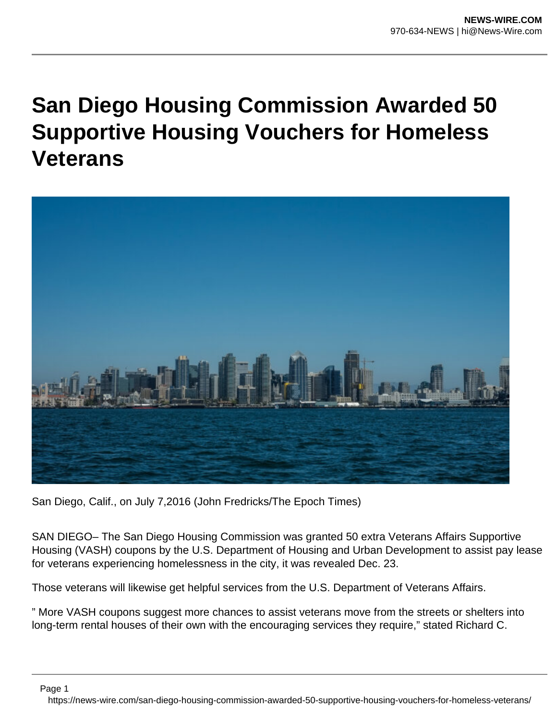## **San Diego Housing Commission Awarded 50 Supportive Housing Vouchers for Homeless Veterans**



San Diego, Calif., on July 7,2016 (John Fredricks/The Epoch Times)

SAN DIEGO– The San Diego Housing Commission was granted 50 extra Veterans Affairs Supportive Housing (VASH) coupons by the U.S. Department of Housing and Urban Development to assist pay lease for veterans experiencing homelessness in the city, it was revealed Dec. 23.

Those veterans will likewise get helpful services from the U.S. Department of Veterans Affairs.

" More VASH coupons suggest more chances to assist veterans move from the streets or shelters into long-term rental houses of their own with the encouraging services they require," stated Richard C.

Page 1

https://news-wire.com/san-diego-housing-commission-awarded-50-supportive-housing-vouchers-for-homeless-veterans/